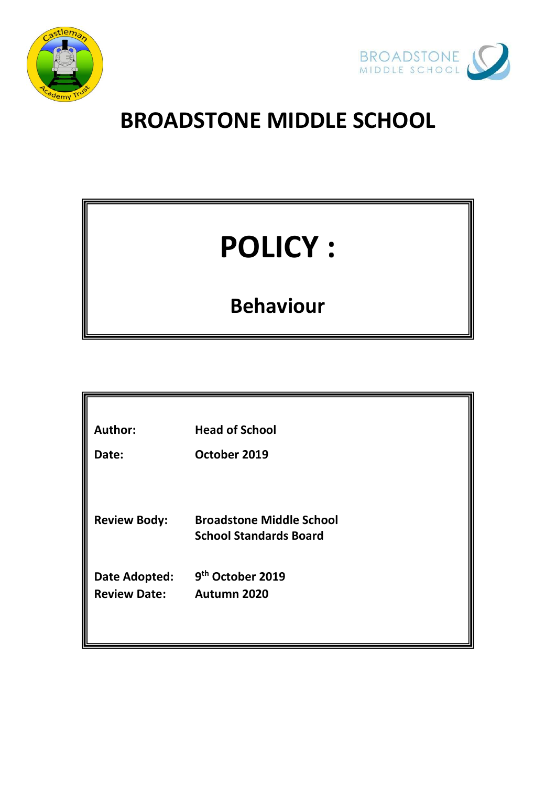



# **BROADSTONE MIDDLE SCHOOL**

# **POLICY :**

# **Behaviour**

| <b>Author:</b>      | <b>Head of School</b>           |
|---------------------|---------------------------------|
| Date:               | October 2019                    |
|                     |                                 |
|                     |                                 |
| <b>Review Body:</b> | <b>Broadstone Middle School</b> |
|                     | <b>School Standards Board</b>   |
|                     |                                 |
| Date Adopted:       | 9 <sup>th</sup> October 2019    |
| <b>Review Date:</b> | Autumn 2020                     |
|                     |                                 |
|                     |                                 |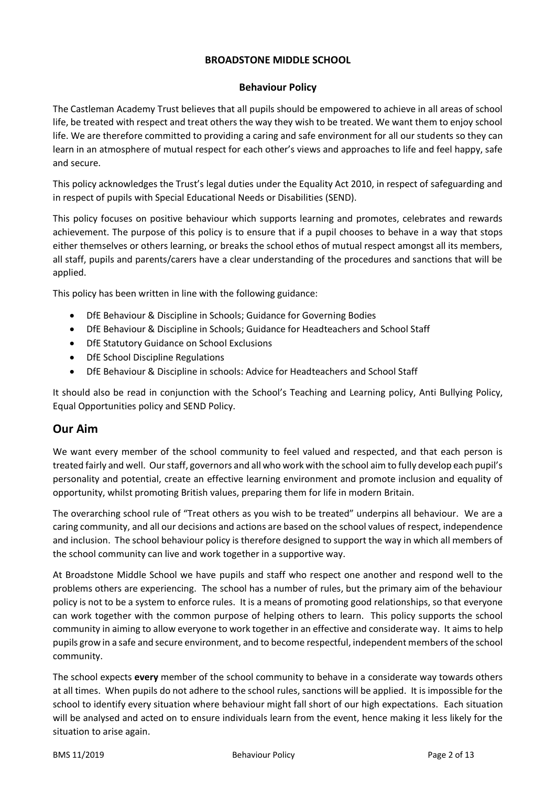#### **BROADSTONE MIDDLE SCHOOL**

#### **Behaviour Policy**

The Castleman Academy Trust believes that all pupils should be empowered to achieve in all areas of school life, be treated with respect and treat others the way they wish to be treated. We want them to enjoy school life. We are therefore committed to providing a caring and safe environment for all our students so they can learn in an atmosphere of mutual respect for each other's views and approaches to life and feel happy, safe and secure.

This policy acknowledges the Trust's legal duties under the Equality Act 2010, in respect of safeguarding and in respect of pupils with Special Educational Needs or Disabilities (SEND).

This policy focuses on positive behaviour which supports learning and promotes, celebrates and rewards achievement. The purpose of this policy is to ensure that if a pupil chooses to behave in a way that stops either themselves or others learning, or breaks the school ethos of mutual respect amongst all its members, all staff, pupils and parents/carers have a clear understanding of the procedures and sanctions that will be applied.

This policy has been written in line with the following guidance:

- DfE Behaviour & Discipline in Schools; Guidance for Governing Bodies
- DfE Behaviour & Discipline in Schools; Guidance for Headteachers and School Staff
- DfE Statutory Guidance on School Exclusions
- DfE School Discipline Regulations
- DfE Behaviour & Discipline in schools: Advice for Headteachers and School Staff

It should also be read in conjunction with the School's Teaching and Learning policy, Anti Bullying Policy, Equal Opportunities policy and SEND Policy.

#### **Our Aim**

We want every member of the school community to feel valued and respected, and that each person is treated fairly and well. Our staff, governors and all who work with the school aim to fully develop each pupil's personality and potential, create an effective learning environment and promote inclusion and equality of opportunity, whilst promoting British values, preparing them for life in modern Britain.

The overarching school rule of "Treat others as you wish to be treated" underpins all behaviour. We are a caring community, and all our decisions and actions are based on the school values of respect, independence and inclusion. The school behaviour policy is therefore designed to support the way in which all members of the school community can live and work together in a supportive way.

At Broadstone Middle School we have pupils and staff who respect one another and respond well to the problems others are experiencing. The school has a number of rules, but the primary aim of the behaviour policy is not to be a system to enforce rules. It is a means of promoting good relationships, so that everyone can work together with the common purpose of helping others to learn. This policy supports the school community in aiming to allow everyone to work together in an effective and considerate way. It aims to help pupils grow in a safe and secure environment, and to become respectful, independent members of the school community.

The school expects **every** member of the school community to behave in a considerate way towards others at all times. When pupils do not adhere to the school rules, sanctions will be applied. It is impossible for the school to identify every situation where behaviour might fall short of our high expectations. Each situation will be analysed and acted on to ensure individuals learn from the event, hence making it less likely for the situation to arise again.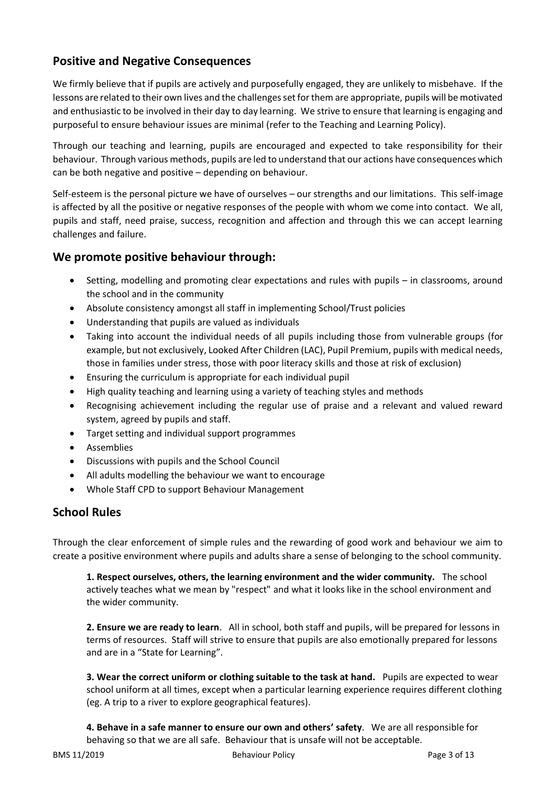# **Positive and Negative Consequences**

We firmly believe that if pupils are actively and purposefully engaged, they are unlikely to misbehave. If the lessons are related to their own lives and the challenges set for them are appropriate, pupils will be motivated and enthusiastic to be involved in their day to day learning. We strive to ensure that learning is engaging and purposeful to ensure behaviour issues are minimal (refer to the Teaching and Learning Policy).

Through our teaching and learning, pupils are encouraged and expected to take responsibility for their behaviour. Through various methods, pupils are led to understand that our actions have consequences which can be both negative and positive – depending on behaviour.

Self-esteem is the personal picture we have of ourselves – our strengths and our limitations. This self-image is affected by all the positive or negative responses of the people with whom we come into contact. We all, pupils and staff, need praise, success, recognition and affection and through this we can accept learning challenges and failure.

## **We promote positive behaviour through:**

- Setting, modelling and promoting clear expectations and rules with pupils in classrooms, around the school and in the community
- Absolute consistency amongst all staff in implementing School/Trust policies
- Understanding that pupils are valued as individuals
- Taking into account the individual needs of all pupils including those from vulnerable groups (for example, but not exclusively, Looked After Children (LAC), Pupil Premium, pupils with medical needs, those in families under stress, those with poor literacy skills and those at risk of exclusion)
- Ensuring the curriculum is appropriate for each individual pupil
- High quality teaching and learning using a variety of teaching styles and methods
- Recognising achievement including the regular use of praise and a relevant and valued reward system, agreed by pupils and staff.
- Target setting and individual support programmes
- Assemblies
- Discussions with pupils and the School Council
- All adults modelling the behaviour we want to encourage
- Whole Staff CPD to support Behaviour Management

# **School Rules**

Through the clear enforcement of simple rules and the rewarding of good work and behaviour we aim to create a positive environment where pupils and adults share a sense of belonging to the school community.

**1. Respect ourselves, others, the learning environment and the wider community.** The school actively teaches what we mean by "respect" and what it looks like in the school environment and the wider community.

**2. Ensure we are ready to learn**. All in school, both staff and pupils, will be prepared for lessons in terms of resources. Staff will strive to ensure that pupils are also emotionally prepared for lessons and are in a "State for Learning".

**3. Wear the correct uniform or clothing suitable to the task at hand.** Pupils are expected to wear school uniform at all times, except when a particular learning experience requires different clothing (eg. A trip to a river to explore geographical features).

**4. Behave in a safe manner to ensure our own and others' safety**. We are all responsible for behaving so that we are all safe. Behaviour that is unsafe will not be acceptable.

BMS 11/2019 Behaviour Policy Page 3 of 13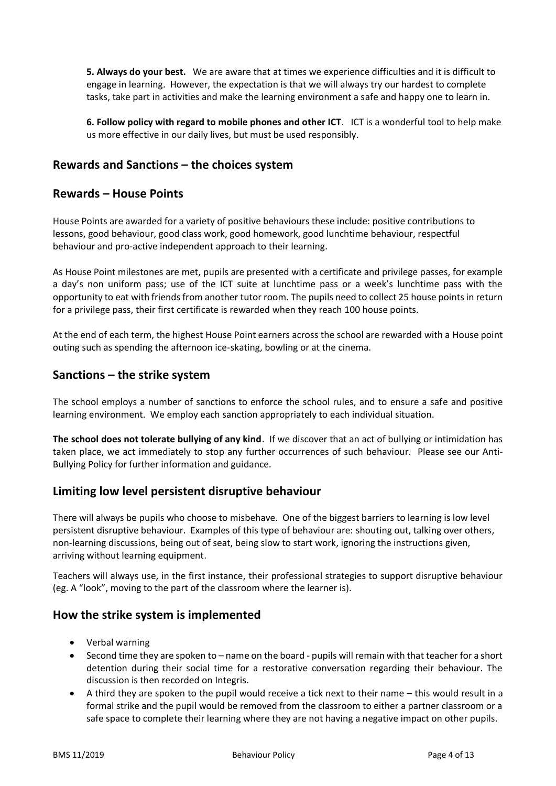**5. Always do your best.** We are aware that at times we experience difficulties and it is difficult to engage in learning. However, the expectation is that we will always try our hardest to complete tasks, take part in activities and make the learning environment a safe and happy one to learn in.

**6. Follow policy with regard to mobile phones and other ICT**. ICT is a wonderful tool to help make us more effective in our daily lives, but must be used responsibly.

# **Rewards and Sanctions – the choices system**

## **Rewards – House Points**

House Points are awarded for a variety of positive behaviours these include: positive contributions to lessons, good behaviour, good class work, good homework, good lunchtime behaviour, respectful behaviour and pro-active independent approach to their learning.

As House Point milestones are met, pupils are presented with a certificate and privilege passes, for example a day's non uniform pass; use of the ICT suite at lunchtime pass or a week's lunchtime pass with the opportunity to eat with friends from another tutor room. The pupils need to collect 25 house points in return for a privilege pass, their first certificate is rewarded when they reach 100 house points.

At the end of each term, the highest House Point earners across the school are rewarded with a House point outing such as spending the afternoon ice-skating, bowling or at the cinema.

#### **Sanctions – the strike system**

The school employs a number of sanctions to enforce the school rules, and to ensure a safe and positive learning environment. We employ each sanction appropriately to each individual situation.

**The school does not tolerate bullying of any kind**. If we discover that an act of bullying or intimidation has taken place, we act immediately to stop any further occurrences of such behaviour. Please see our Anti-Bullying Policy for further information and guidance.

#### **Limiting low level persistent disruptive behaviour**

There will always be pupils who choose to misbehave. One of the biggest barriers to learning is low level persistent disruptive behaviour. Examples of this type of behaviour are: shouting out, talking over others, non-learning discussions, being out of seat, being slow to start work, ignoring the instructions given, arriving without learning equipment.

Teachers will always use, in the first instance, their professional strategies to support disruptive behaviour (eg. A "look", moving to the part of the classroom where the learner is).

#### **How the strike system is implemented**

- Verbal warning
- Second time they are spoken to name on the board pupils will remain with that teacher for a short detention during their social time for a restorative conversation regarding their behaviour. The discussion is then recorded on Integris.
- A third they are spoken to the pupil would receive a tick next to their name this would result in a formal strike and the pupil would be removed from the classroom to either a partner classroom or a safe space to complete their learning where they are not having a negative impact on other pupils.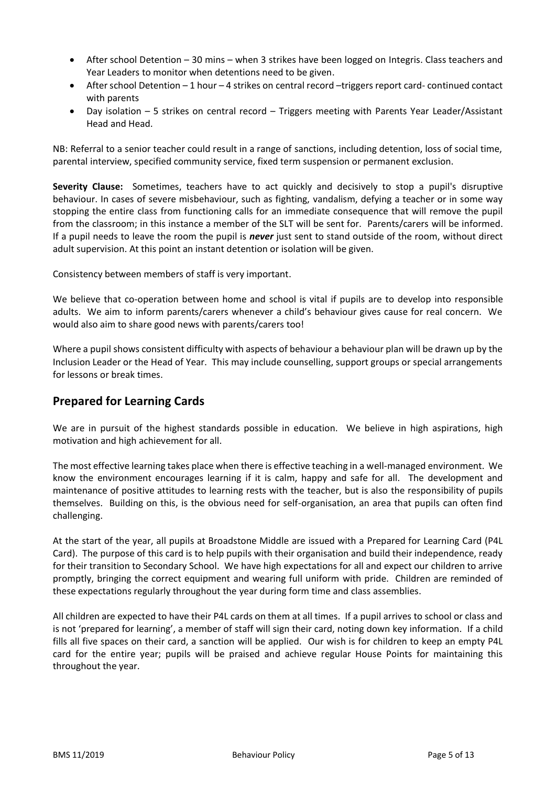- After school Detention 30 mins when 3 strikes have been logged on Integris. Class teachers and Year Leaders to monitor when detentions need to be given.
- After school Detention 1 hour 4 strikes on central record –triggers report card- continued contact with parents
- Day isolation 5 strikes on central record Triggers meeting with Parents Year Leader/Assistant Head and Head.

NB: Referral to a senior teacher could result in a range of sanctions, including detention, loss of social time, parental interview, specified community service, fixed term suspension or permanent exclusion.

**Severity Clause:** Sometimes, teachers have to act quickly and decisively to stop a pupil's disruptive behaviour. In cases of severe misbehaviour, such as fighting, vandalism, defying a teacher or in some way stopping the entire class from functioning calls for an immediate consequence that will remove the pupil from the classroom; in this instance a member of the SLT will be sent for. Parents/carers will be informed. If a pupil needs to leave the room the pupil is *never* just sent to stand outside of the room, without direct adult supervision. At this point an instant detention or isolation will be given.

Consistency between members of staff is very important.

We believe that co-operation between home and school is vital if pupils are to develop into responsible adults. We aim to inform parents/carers whenever a child's behaviour gives cause for real concern. We would also aim to share good news with parents/carers too!

Where a pupil shows consistent difficulty with aspects of behaviour a behaviour plan will be drawn up by the Inclusion Leader or the Head of Year. This may include counselling, support groups or special arrangements for lessons or break times.

# **Prepared for Learning Cards**

We are in pursuit of the highest standards possible in education. We believe in high aspirations, high motivation and high achievement for all.

The most effective learning takes place when there is effective teaching in a well-managed environment. We know the environment encourages learning if it is calm, happy and safe for all. The development and maintenance of positive attitudes to learning rests with the teacher, but is also the responsibility of pupils themselves. Building on this, is the obvious need for self-organisation, an area that pupils can often find challenging.

At the start of the year, all pupils at Broadstone Middle are issued with a Prepared for Learning Card (P4L Card). The purpose of this card is to help pupils with their organisation and build their independence, ready for their transition to Secondary School. We have high expectations for all and expect our children to arrive promptly, bringing the correct equipment and wearing full uniform with pride. Children are reminded of these expectations regularly throughout the year during form time and class assemblies.

All children are expected to have their P4L cards on them at all times. If a pupil arrives to school or class and is not 'prepared for learning', a member of staff will sign their card, noting down key information. If a child fills all five spaces on their card, a sanction will be applied. Our wish is for children to keep an empty P4L card for the entire year; pupils will be praised and achieve regular House Points for maintaining this throughout the year.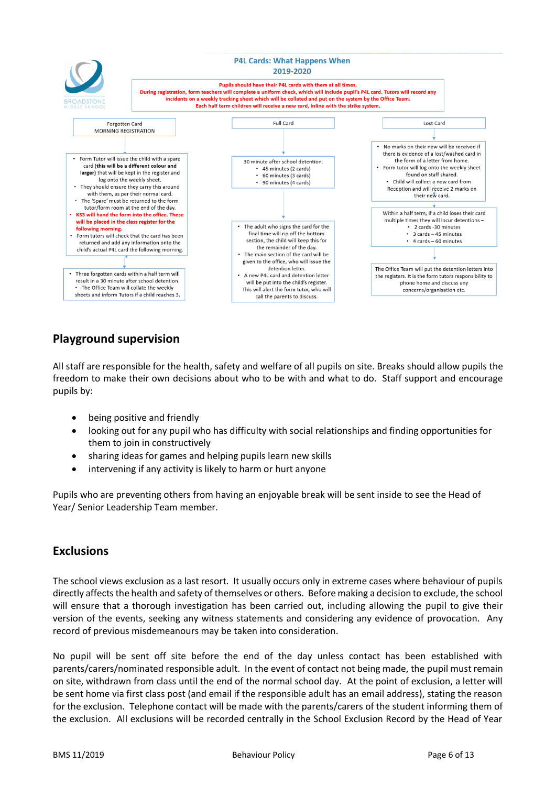

# **Playground supervision**

All staff are responsible for the health, safety and welfare of all pupils on site. Breaks should allow pupils the freedom to make their own decisions about who to be with and what to do. Staff support and encourage pupils by:

- being positive and friendly
- looking out for any pupil who has difficulty with social relationships and finding opportunities for them to join in constructively
- sharing ideas for games and helping pupils learn new skills
- intervening if any activity is likely to harm or hurt anyone

Pupils who are preventing others from having an enjoyable break will be sent inside to see the Head of Year/ Senior Leadership Team member.

# **Exclusions**

The school views exclusion as a last resort. It usually occurs only in extreme cases where behaviour of pupils directly affects the health and safety of themselves or others. Before making a decision to exclude, the school will ensure that a thorough investigation has been carried out, including allowing the pupil to give their version of the events, seeking any witness statements and considering any evidence of provocation. Any record of previous misdemeanours may be taken into consideration.

No pupil will be sent off site before the end of the day unless contact has been established with parents/carers/nominated responsible adult. In the event of contact not being made, the pupil must remain on site, withdrawn from class until the end of the normal school day. At the point of exclusion, a letter will be sent home via first class post (and email if the responsible adult has an email address), stating the reason for the exclusion. Telephone contact will be made with the parents/carers of the student informing them of the exclusion. All exclusions will be recorded centrally in the School Exclusion Record by the Head of Year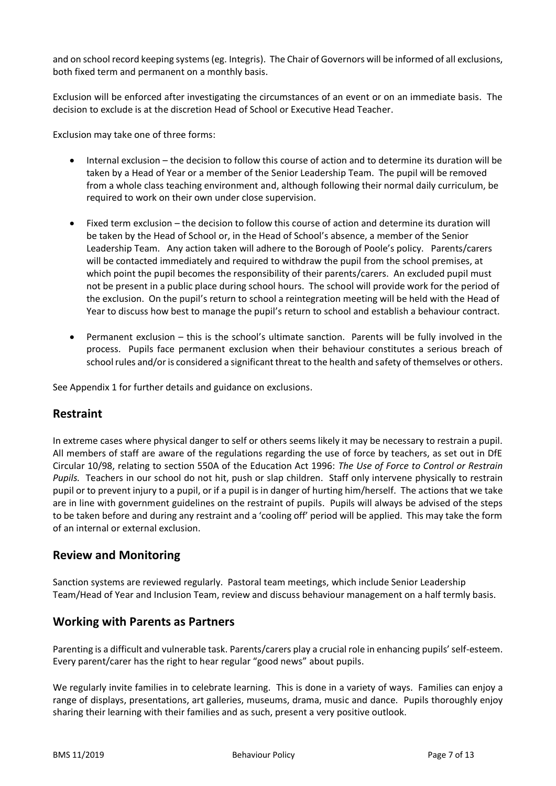and on school record keeping systems (eg. Integris). The Chair of Governors will be informed of all exclusions, both fixed term and permanent on a monthly basis.

Exclusion will be enforced after investigating the circumstances of an event or on an immediate basis. The decision to exclude is at the discretion Head of School or Executive Head Teacher.

Exclusion may take one of three forms:

- Internal exclusion the decision to follow this course of action and to determine its duration will be taken by a Head of Year or a member of the Senior Leadership Team. The pupil will be removed from a whole class teaching environment and, although following their normal daily curriculum, be required to work on their own under close supervision.
- Fixed term exclusion the decision to follow this course of action and determine its duration will be taken by the Head of School or, in the Head of School's absence, a member of the Senior Leadership Team. Any action taken will adhere to the Borough of Poole's policy. Parents/carers will be contacted immediately and required to withdraw the pupil from the school premises, at which point the pupil becomes the responsibility of their parents/carers. An excluded pupil must not be present in a public place during school hours. The school will provide work for the period of the exclusion. On the pupil's return to school a reintegration meeting will be held with the Head of Year to discuss how best to manage the pupil's return to school and establish a behaviour contract.
- Permanent exclusion this is the school's ultimate sanction. Parents will be fully involved in the process. Pupils face permanent exclusion when their behaviour constitutes a serious breach of school rules and/or is considered a significant threat to the health and safety of themselves or others.

See Appendix 1 for further details and guidance on exclusions.

#### **Restraint**

In extreme cases where physical danger to self or others seems likely it may be necessary to restrain a pupil. All members of staff are aware of the regulations regarding the use of force by teachers, as set out in DfE Circular 10/98, relating to section 550A of the Education Act 1996: *The Use of Force to Control or Restrain Pupils.* Teachers in our school do not hit, push or slap children. Staff only intervene physically to restrain pupil or to prevent injury to a pupil, or if a pupil is in danger of hurting him/herself. The actions that we take are in line with government guidelines on the restraint of pupils. Pupils will always be advised of the steps to be taken before and during any restraint and a 'cooling off' period will be applied. This may take the form of an internal or external exclusion.

#### **Review and Monitoring**

Sanction systems are reviewed regularly. Pastoral team meetings, which include Senior Leadership Team/Head of Year and Inclusion Team, review and discuss behaviour management on a half termly basis.

#### **Working with Parents as Partners**

Parenting is a difficult and vulnerable task. Parents/carers play a crucial role in enhancing pupils' self-esteem. Every parent/carer has the right to hear regular "good news" about pupils.

We regularly invite families in to celebrate learning. This is done in a variety of ways. Families can enjoy a range of displays, presentations, art galleries, museums, drama, music and dance. Pupils thoroughly enjoy sharing their learning with their families and as such, present a very positive outlook.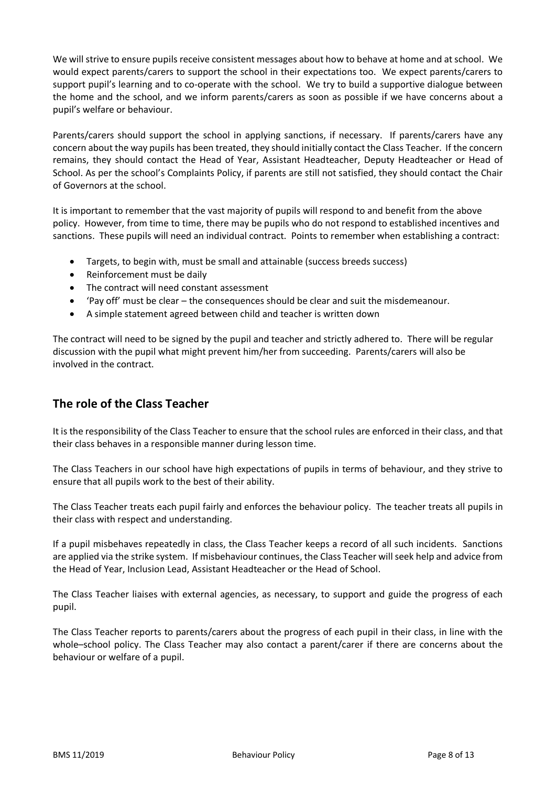We will strive to ensure pupils receive consistent messages about how to behave at home and at school. We would expect parents/carers to support the school in their expectations too. We expect parents/carers to support pupil's learning and to co-operate with the school. We try to build a supportive dialogue between the home and the school, and we inform parents/carers as soon as possible if we have concerns about a pupil's welfare or behaviour.

Parents/carers should support the school in applying sanctions, if necessary. If parents/carers have any concern about the way pupils has been treated, they should initially contact the Class Teacher. If the concern remains, they should contact the Head of Year, Assistant Headteacher, Deputy Headteacher or Head of School. As per the school's Complaints Policy, if parents are still not satisfied, they should contact the Chair of Governors at the school.

It is important to remember that the vast majority of pupils will respond to and benefit from the above policy. However, from time to time, there may be pupils who do not respond to established incentives and sanctions. These pupils will need an individual contract. Points to remember when establishing a contract:

- Targets, to begin with, must be small and attainable (success breeds success)
- Reinforcement must be daily
- The contract will need constant assessment
- 'Pay off' must be clear the consequences should be clear and suit the misdemeanour.
- A simple statement agreed between child and teacher is written down

The contract will need to be signed by the pupil and teacher and strictly adhered to. There will be regular discussion with the pupil what might prevent him/her from succeeding. Parents/carers will also be involved in the contract.

# **The role of the Class Teacher**

It is the responsibility of the Class Teacher to ensure that the school rules are enforced in their class, and that their class behaves in a responsible manner during lesson time.

The Class Teachers in our school have high expectations of pupils in terms of behaviour, and they strive to ensure that all pupils work to the best of their ability.

The Class Teacher treats each pupil fairly and enforces the behaviour policy. The teacher treats all pupils in their class with respect and understanding.

If a pupil misbehaves repeatedly in class, the Class Teacher keeps a record of all such incidents. Sanctions are applied via the strike system. If misbehaviour continues, the Class Teacher will seek help and advice from the Head of Year, Inclusion Lead, Assistant Headteacher or the Head of School.

The Class Teacher liaises with external agencies, as necessary, to support and guide the progress of each pupil.

The Class Teacher reports to parents/carers about the progress of each pupil in their class, in line with the whole–school policy. The Class Teacher may also contact a parent/carer if there are concerns about the behaviour or welfare of a pupil.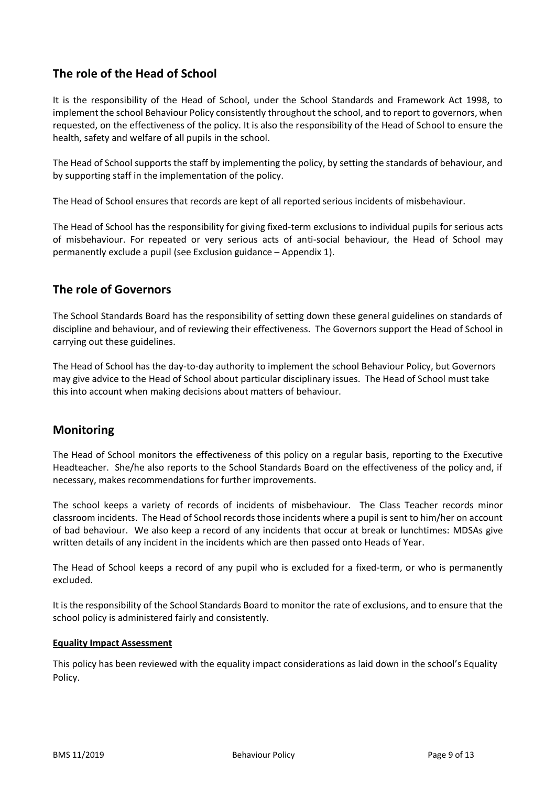# **The role of the Head of School**

It is the responsibility of the Head of School, under the School Standards and Framework Act 1998, to implement the school Behaviour Policy consistently throughout the school, and to report to governors, when requested, on the effectiveness of the policy. It is also the responsibility of the Head of School to ensure the health, safety and welfare of all pupils in the school.

The Head of School supports the staff by implementing the policy, by setting the standards of behaviour, and by supporting staff in the implementation of the policy.

The Head of School ensures that records are kept of all reported serious incidents of misbehaviour.

The Head of School has the responsibility for giving fixed-term exclusions to individual pupils for serious acts of misbehaviour. For repeated or very serious acts of anti-social behaviour, the Head of School may permanently exclude a pupil (see Exclusion guidance – Appendix 1).

## **The role of Governors**

The School Standards Board has the responsibility of setting down these general guidelines on standards of discipline and behaviour, and of reviewing their effectiveness. The Governors support the Head of School in carrying out these guidelines.

The Head of School has the day-to-day authority to implement the school Behaviour Policy, but Governors may give advice to the Head of School about particular disciplinary issues. The Head of School must take this into account when making decisions about matters of behaviour.

# **Monitoring**

The Head of School monitors the effectiveness of this policy on a regular basis, reporting to the Executive Headteacher. She/he also reports to the School Standards Board on the effectiveness of the policy and, if necessary, makes recommendations for further improvements.

The school keeps a variety of records of incidents of misbehaviour. The Class Teacher records minor classroom incidents. The Head of School records those incidents where a pupil is sent to him/her on account of bad behaviour. We also keep a record of any incidents that occur at break or lunchtimes: MDSAs give written details of any incident in the incidents which are then passed onto Heads of Year.

The Head of School keeps a record of any pupil who is excluded for a fixed-term, or who is permanently excluded.

It is the responsibility of the School Standards Board to monitor the rate of exclusions, and to ensure that the school policy is administered fairly and consistently.

#### **Equality Impact Assessment**

This policy has been reviewed with the equality impact considerations as laid down in the school's Equality Policy.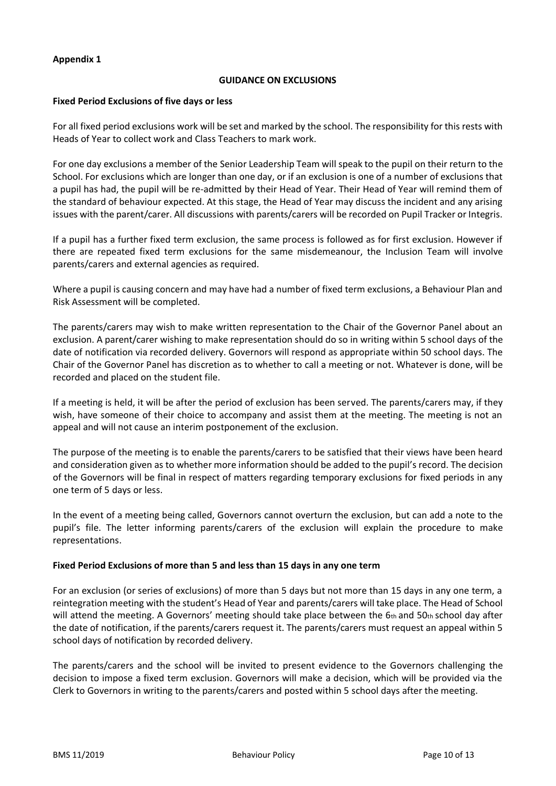#### **Appendix 1**

#### **GUIDANCE ON EXCLUSIONS**

#### **Fixed Period Exclusions of five days or less**

For all fixed period exclusions work will be set and marked by the school. The responsibility for this rests with Heads of Year to collect work and Class Teachers to mark work.

For one day exclusions a member of the Senior Leadership Team will speak to the pupil on their return to the School. For exclusions which are longer than one day, or if an exclusion is one of a number of exclusions that a pupil has had, the pupil will be re-admitted by their Head of Year. Their Head of Year will remind them of the standard of behaviour expected. At this stage, the Head of Year may discuss the incident and any arising issues with the parent/carer. All discussions with parents/carers will be recorded on Pupil Tracker or Integris.

If a pupil has a further fixed term exclusion, the same process is followed as for first exclusion. However if there are repeated fixed term exclusions for the same misdemeanour, the Inclusion Team will involve parents/carers and external agencies as required.

Where a pupil is causing concern and may have had a number of fixed term exclusions, a Behaviour Plan and Risk Assessment will be completed.

The parents/carers may wish to make written representation to the Chair of the Governor Panel about an exclusion. A parent/carer wishing to make representation should do so in writing within 5 school days of the date of notification via recorded delivery. Governors will respond as appropriate within 50 school days. The Chair of the Governor Panel has discretion as to whether to call a meeting or not. Whatever is done, will be recorded and placed on the student file.

If a meeting is held, it will be after the period of exclusion has been served. The parents/carers may, if they wish, have someone of their choice to accompany and assist them at the meeting. The meeting is not an appeal and will not cause an interim postponement of the exclusion.

The purpose of the meeting is to enable the parents/carers to be satisfied that their views have been heard and consideration given as to whether more information should be added to the pupil's record. The decision of the Governors will be final in respect of matters regarding temporary exclusions for fixed periods in any one term of 5 days or less.

In the event of a meeting being called, Governors cannot overturn the exclusion, but can add a note to the pupil's file. The letter informing parents/carers of the exclusion will explain the procedure to make representations.

#### **Fixed Period Exclusions of more than 5 and less than 15 days in any one term**

For an exclusion (or series of exclusions) of more than 5 days but not more than 15 days in any one term, a reintegration meeting with the student's Head of Year and parents/carers will take place. The Head of School will attend the meeting. A Governors' meeting should take place between the 6th and 50th school day after the date of notification, if the parents/carers request it. The parents/carers must request an appeal within 5 school days of notification by recorded delivery.

The parents/carers and the school will be invited to present evidence to the Governors challenging the decision to impose a fixed term exclusion. Governors will make a decision, which will be provided via the Clerk to Governors in writing to the parents/carers and posted within 5 school days after the meeting.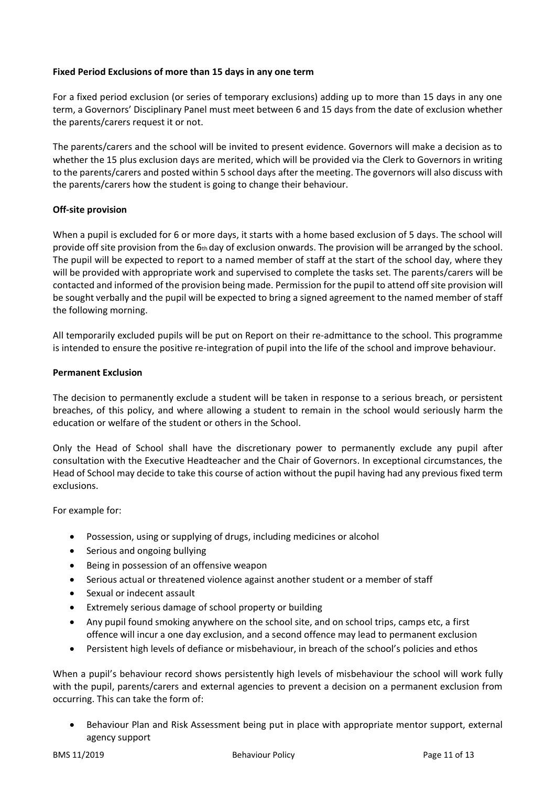#### **Fixed Period Exclusions of more than 15 days in any one term**

For a fixed period exclusion (or series of temporary exclusions) adding up to more than 15 days in any one term, a Governors' Disciplinary Panel must meet between 6 and 15 days from the date of exclusion whether the parents/carers request it or not.

The parents/carers and the school will be invited to present evidence. Governors will make a decision as to whether the 15 plus exclusion days are merited, which will be provided via the Clerk to Governors in writing to the parents/carers and posted within 5 school days after the meeting. The governors will also discuss with the parents/carers how the student is going to change their behaviour.

#### **Off-site provision**

When a pupil is excluded for 6 or more days, it starts with a home based exclusion of 5 days. The school will provide off site provision from the  $6th$  day of exclusion onwards. The provision will be arranged by the school. The pupil will be expected to report to a named member of staff at the start of the school day, where they will be provided with appropriate work and supervised to complete the tasks set. The parents/carers will be contacted and informed of the provision being made. Permission for the pupil to attend off site provision will be sought verbally and the pupil will be expected to bring a signed agreement to the named member of staff the following morning.

All temporarily excluded pupils will be put on Report on their re-admittance to the school. This programme is intended to ensure the positive re-integration of pupil into the life of the school and improve behaviour.

#### **Permanent Exclusion**

The decision to permanently exclude a student will be taken in response to a serious breach, or persistent breaches, of this policy, and where allowing a student to remain in the school would seriously harm the education or welfare of the student or others in the School.

Only the Head of School shall have the discretionary power to permanently exclude any pupil after consultation with the Executive Headteacher and the Chair of Governors. In exceptional circumstances, the Head of School may decide to take this course of action without the pupil having had any previous fixed term exclusions.

For example for:

- Possession, using or supplying of drugs, including medicines or alcohol
- Serious and ongoing bullying
- Being in possession of an offensive weapon
- Serious actual or threatened violence against another student or a member of staff
- Sexual or indecent assault
- Extremely serious damage of school property or building
- Any pupil found smoking anywhere on the school site, and on school trips, camps etc, a first offence will incur a one day exclusion, and a second offence may lead to permanent exclusion
- Persistent high levels of defiance or misbehaviour, in breach of the school's policies and ethos

When a pupil's behaviour record shows persistently high levels of misbehaviour the school will work fully with the pupil, parents/carers and external agencies to prevent a decision on a permanent exclusion from occurring. This can take the form of:

 Behaviour Plan and Risk Assessment being put in place with appropriate mentor support, external agency support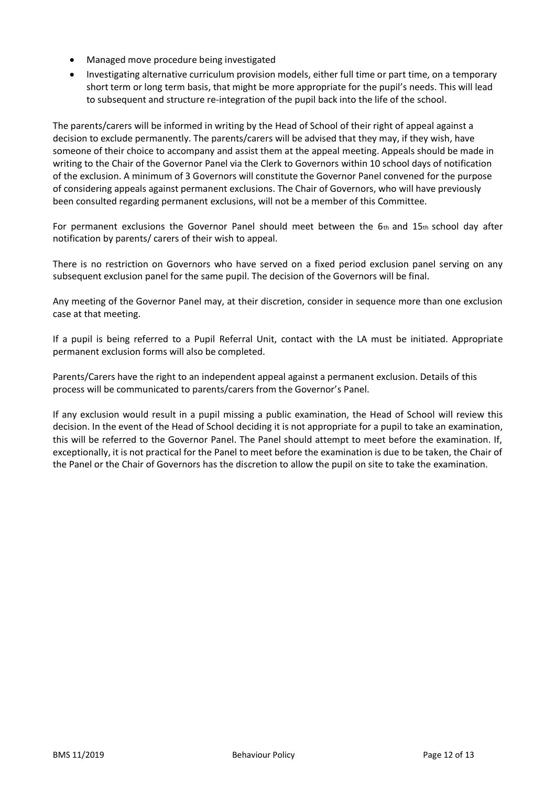- Managed move procedure being investigated
- Investigating alternative curriculum provision models, either full time or part time, on a temporary short term or long term basis, that might be more appropriate for the pupil's needs. This will lead to subsequent and structure re-integration of the pupil back into the life of the school.

The parents/carers will be informed in writing by the Head of School of their right of appeal against a decision to exclude permanently. The parents/carers will be advised that they may, if they wish, have someone of their choice to accompany and assist them at the appeal meeting. Appeals should be made in writing to the Chair of the Governor Panel via the Clerk to Governors within 10 school days of notification of the exclusion. A minimum of 3 Governors will constitute the Governor Panel convened for the purpose of considering appeals against permanent exclusions. The Chair of Governors, who will have previously been consulted regarding permanent exclusions, will not be a member of this Committee.

For permanent exclusions the Governor Panel should meet between the  $6<sub>th</sub>$  and  $15<sub>th</sub>$  school day after notification by parents/ carers of their wish to appeal.

There is no restriction on Governors who have served on a fixed period exclusion panel serving on any subsequent exclusion panel for the same pupil. The decision of the Governors will be final.

Any meeting of the Governor Panel may, at their discretion, consider in sequence more than one exclusion case at that meeting.

If a pupil is being referred to a Pupil Referral Unit, contact with the LA must be initiated. Appropriate permanent exclusion forms will also be completed.

Parents/Carers have the right to an independent appeal against a permanent exclusion. Details of this process will be communicated to parents/carers from the Governor's Panel.

If any exclusion would result in a pupil missing a public examination, the Head of School will review this decision. In the event of the Head of School deciding it is not appropriate for a pupil to take an examination, this will be referred to the Governor Panel. The Panel should attempt to meet before the examination. If, exceptionally, it is not practical for the Panel to meet before the examination is due to be taken, the Chair of the Panel or the Chair of Governors has the discretion to allow the pupil on site to take the examination.